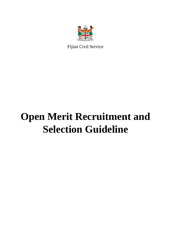

Fijian Civil Service

# **Open Merit Recruitment and Selection Guideline**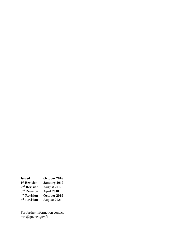**Issued : October 2016 st Revision : January 2017 nd Revision : August 2017 rd Revision : April 2018 th Revision : October 2019 th Revision : August 2021**

For further information contact: mcs@govnet.gov.fj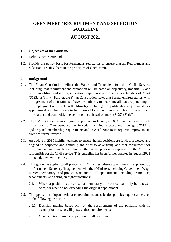# **OPEN MERIT RECRUITMENT AND SELECTION GUIDELINE**

# **AUGUST 2021**

#### **1. Objectives of the Guideline**

- 1.1. Define Open Merit; and
- 1.2. Provide the policy basis for Permanent Secretaries to ensure that all Recruitment and Selection of staff adhere to the principles of Open Merit.

#### **2. Background**

- 2.1. The Fijian Constitution defines the Values and Principles for the Civil Service, including that recruitment and promotion will be based on objectivity, impartiality and fair competition and ability, education, experience and other characteristics of Merit (S123, (i) (i, ii)). Further, the Fijian Constitution states that Permanent Secretaries, with the agreement of their Minister, have the authority to determine all matters pertaining to the employment of all staff in the Ministry, including the qualification requirements for appointment and the process to be followed for appointment, which must be an open, transparent and competitive selection process based on merit (S127, (8) (b)).
- 2.2. The OMRS Guideline was originally approved in January 2016. Amendments were made in January 2017 to introduce the Procedural Review Process and in August 2017 to update panel membership requirements and in April 2018 to incorporate improvements from the formal review.
- 2.3. An update in 2019 highlighted steps to ensure that all positions are funded, reviewed and aligned to corporate and annual plans prior to advertising and that recruitment for positions that were not funded through the budget process is approved by the Minister responsible for the Civil Service. This guideline has been further updated in August 2021 to include review timelines.
- 2.4. This guideline applies to all positions in Ministries where appointment is approved by the Permanent Secretary (in agreement with their Minister), including Government Wage Earners, temporary and project staff and to all appointments including promotions, secondments and acting on higher positions:
	- 2.4.1. Where a position is advertised as temporary the contract can only be renewed once, for a period not exceeding the original appointment.
- 2.5. The application of open merit based recruitment and selection policies requires adherence to the following Principles:
	- 2.5.1. Decision making based only on the requirements of the position, with no assumption on who will possess these requirements;
	- 2.5.2. Open and transparent competition for all positions;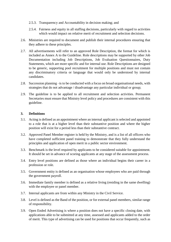- 2.5.3. Transparency and Accountability in decision making; and
- 2.5.4. Fairness and equity in all staffing decisions, particularly with regard to activities which would impact on relative merit of recruitment and selection decisions.
- 2.6. Ministries are required to document and publish their internal procedures ensuring that they adhere to these principles.
- 2.7. All advertisements will refer to an approved Role Description, the format for which is included as Annex A to the Guideline. Role descriptions may be supported by other Job Documentation including Job Descriptions, Job Evaluation Questionnaires, Duty Statements, which are more specific and for internal use. Role Descriptions are designed to be generic, supporting pool recruitment for multiple positions and must not contain any discriminatory criteria or language that would only be understood by internal candidates.
- 2.8. Succession planning –is to be conducted with a focus on broad organisational needs, with strategies that do not advantage / disadvantage any particular individual or group;
- 2.9. The guideline is to be applied to all recruitment and selection activities. Permanent Secretaries must ensure that Ministry level policy and procedures are consistent with this guideline.

#### **3. Definitions**

- 3.1. Acting is defined as an appointment where an internal applicant is selected and appointed to a role that is at a higher level than their substantive position and where the higher position will exist for a period less than their substantive contract.
- 3.2. Approved Panel Member register is held by the Ministry, and is a list of all officers who have completed sufficient panel training to demonstrate that they fully understand the principles and application of open merit in a public sector environment.
- 3.3. Benchmark is the level required by applicants to be considered suitable for appointment. It should be set in advance of scoring applicants at any stage of the assessment process.
- 3.4. Entry level positions are defined as those where an individual begins their career in a profession or role.
- 3.5. Government entity is defined as an organisation whose employees who are paid through the government payroll.
- 3.6. Immediate family member is defined as a relative living (residing in the same dwelling) with the employee or panel member.
- 3.7. Internal applicants are from within any Ministry in the Civil Service.
- 3.8. Level is defined as the Band of the position, or for external panel members, similar range of responsibility.
- 3.9. Open Ended Advertising is where a position does not have a specific closing date, with applications able to be submitted at any time, assessed and applicants added to the order of merit. This type of advertising can be used for positions that occur frequently, such as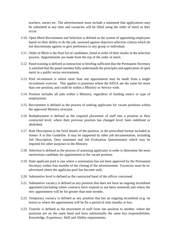teachers, nurses etc. The advertisement must include a statement that applications may be submitted at any time and vacancies will be filled using the order of merit as they occur.

- 3.10. Open Merit Recruitment and Selection is defined as the system of appointing employees based on their ability to do the job, assessed against objective selection criteria which do not discriminate against or give preference to any group or individual.
- 3.11. Order of Merit is the final list of candidates, listed in order of their results in the selection process. Appointments are made from the top of the order of merit.
- 3.12. Panel training is defined as instruction or briefing sufficient that the Permanent Secretary is satisfied that the panel member fully understands the principles and application of open merit in a public sector environment.
- 3.13. Pool recruitment is where more than one appointment may be made from a single recruitment exercise. This applies to positions where the KESA are the same for more than one position, and could be within a Ministry or Service wide.
- 3.14. Position includes all jobs within a Ministry, regardless of funding source or type of employment.
- 3.15. Recruitment is defined as the process of seeking applicants for vacant positions within the approved Ministry structure.
- 3.16. Redeployment is defined as the required placement of staff into a position at their contracted level, where their previous position has changed level, been redefined or abolished.
- 3.17. Role Description is the brief details of the position, in the prescribed format included as Annex A to this Guideline. It may be supported by other job documentation, including Job Description, Duty statement and Job Evaluation Questionnaire which may be required for other purposes in the Ministry.
- 3.18. Selection is defined as the process of assessing applicants in order to determine the most meritorious candidate for appointment to the vacant position.
- 3.19. Stale applicant pool is one where a nomination has not been approved by the Permanent Secretary within four months of the closing of the advertisement. Vacancies must be readvertised where the applicant pool has become stale.
- 3.20. Substantive level is defined as the contracted band of the officer concerned.
- 3.21. Substantive vacancy is defined as any position that does not have an ongoing incumbent appointed (including where contracts have expired or not been renewed) and where the new appointment will be for greater than nine months.
- 3.22. Temporary vacancy is defined as any position that has an ongoing incumbent (e.g. on leave) or where the appointment will be for a period of nine months or less.
- 3.23. Transfer is defined as the movement of staff from one position to another, where the positions are on the same band and have substantially the same key responsibilities, Knowledge, Experience, Skill and Ability requirements.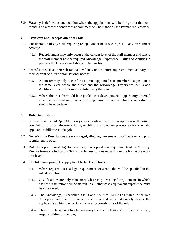3.24. Vacancy is defined as any position where the appointment will be for greater than one month, and where the contract or appointment will be signed by the Permanent Secretary.

#### **4. Transfers and Redeployment of Staff**

- 4.1. Consideration of any staff requiring redeployment must occur prior to any recruitment activity:
	- 4.1.1. Redeployment may only occur at the current level of the staff member and where the staff member has the required Knowledge, Experience, Skills and Abilities to perform the key responsibilities of the position;
- 4.2. Transfer of staff at their substantive level may occur before any recruitment activity, to meet current or future organisational needs:
	- 4.2.1. A transfer may only occur for a current, appointed staff member to a position at the same level, where the duties and the Knowledge, Experience, Skills and Abilities for the positions are substantially the same;
	- 4.2.2. Where the transfer would be regarded as a developmental opportunity, internal advertisement and merit selection (expression of interest) for the opportunity should be undertaken.

#### **5. Role Descriptions**

- 5.1. Successful and valid Open Merit only operates where the role description is well written, containing no discriminatory criteria, enabling the selection process to focus on the applicant's ability to do the job.
- 5.2. Generic Role Descriptions are encouraged, allowing movement of staff at level and pool recruitment to occur.
- 5.3. Role descriptions must align to the strategic and operational requirements of the Ministry. Key Performance Indicators (KPI) in role descriptions must link to the KPI at the work unit level.
- 5.4. The following principles apply to all Role Descriptions:
	- 5.4.1. Where registration is a legal requirement for a role, this will be specified in the role description;
	- 5.4.2. Qualifications are only mandatory where they are a legal requirement (in which case the registration will be stated), in all other cases equivalent experience must be considered;
	- 5.4.3. The Knowledge, Experience, Skills and Abilities (KESA) as stated in the role description are the only selection criteria and must adequately assess the applicant's ability to undertake the key responsibilities of the role;
	- 5.4.4. There must be a direct link between any specified KESA and the documented key responsibilities of the role;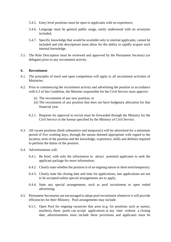- 5.4.5. Entry level positions must be open to applicants with no experience;
- 5.4.6. Language must be general public usage, easily understood with no acronyms included;
- 5.4.7. Specific knowledge that would be available only to internal applicants, cannot be included and role descriptions must allow for the ability to rapidly acquire such internal knowledge.
- 5.5. The Role Description must be reviewed and approved by the Permanent Secretary (or delegate) prior to any recruitment activity.

#### **6. Recruitment**

- 6.1. The principles of merit and open competition will apply to all recruitment activities of Ministries.
- 6.2. Prior to commencing the recruitment activity and advertising the position in accordance with 6.3 of this Guideline, the Minister responsible for the Civil Service must approve:
	- (i) The recruitment of any new position; or
	- (ii) The recruitment of any position that does not have budgetary allocation for that financial year.
	- 6.2.1. Requests for approval to recruit must be forwarded through the Ministry for the Civil Service in the format specified by the Ministry of Civil Service.
- 6.3. All vacant positions (both substantive and temporary) will be advertised for a minimum period of five working days, through the means deemed appropriate with regard to the location, term of the position and the knowledge, experience, skills and abilities required to perform the duties of the position.
- 6.4. Advertisements will:
	- 6.4.1. Be brief, with only the information to attract potential applicants to seek the applicant package for more information;
	- 6.4.2. Clearly state whether the position is of an ongoing nature or short term/temporary;
	- 6.4.3. Clearly state the closing date and time for applications, late applications are not to be accepted unless special arrangements are to apply;
	- 6.4.4. State any special arrangements, such as pool recruitment or open ended advertising.
- 6.5. Permanent Secretaries are encouraged to adopt pool recruitment whenever it will provide efficiencies for their Ministry. Pool arrangements may include:
	- 6.5.1. Open Pool for ongoing vacancies that arise (e.g. for positions such as nurses, teachers), these pools can accept applications at any time without a closing date, advertisements must include these provisions and applicants must be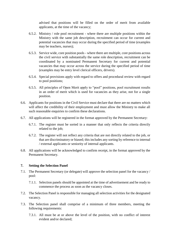advised that positions will be filled on the order of merit from available applicants, at the time of the vacancy;

- 6.5.2. Ministry / role pool recruitment where there are multiple positions within the Ministry with the same job description, recruitment can occur for current and potential vacancies that may occur during the specified period of time (examples may be teachers, nurses);
- 6.5.3. Service wide, core position pools where there are multiple, core positions across the civil service with substantially the same role description, recruitment can be coordinated by a nominated Permanent Secretary for current and potential vacancies that may occur across the service during the specified period of time (examples may be entry level clerical officers, drivers).
- 6.5.4. Special provisions apply with regard to offers and procedural review with regard to pool positions;
- 6.5.5. All principles of Open Merit apply to "pool" positions, pool recruitment results in an order of merit which is used for vacancies as they arise, not for a single position.
- 6.6. Applicants for positions in the Civil Service must declare that there are no matters which will affect the credibility of their employment and must allow the Ministry to make all such reasonable enquiries to confirm these declarations.
- 6.7. All applications will be registered in the format approved by the Permanent Secretary:
	- 6.7.1. The register must be sorted in a manner that only reflects the criteria directly related to the job;
	- 6.7.2. The register will not reflect any criteria that are not directly related to the job, or that are discriminatory or biased; this includes any sorting by reference to internal / external applicants or seniority of internal applicants.
- 6.8. All applications will be acknowledged to confirm receipt, in the format approved by the Permanent Secretary.

#### **7. Setting the Selection Panel**

- 7.1. The Permanent Secretary (or delegate) will approve the selection panel for the vacancy / pool:
	- 7.1.1. Selection panels should be appointed at the time of advertisement and be ready to commence the process as soon as the vacancy closes.
- 7.2. The Selection Panel is responsible for managing all selection activities for the designated vacancy.
- 7.3. The Selection panel shall comprise of a minimum of three members, meeting the following requirements:
	- 7.3.1. All must be at or above the level of the position, with no conflict of interest evident and/or declared;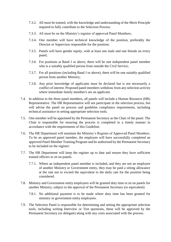- 7.3.2. All must be trained, with the knowledge and understanding of the Merit Principle required to fully contribute to the Selection Process:
- 7.3.3. All must be on the Ministry's register of approved Panel Members;
- 7.3.4. One member will have technical knowledge of the position, preferably the Director or Supervisor responsible for the position;
- 7.3.5. Panels will have gender equity, with at least one male and one female on every panel;
- 7.3.6. For positions at Band J or above, there will be one independent panel member who is a suitably qualified person from outside the Civil Service;
- 7.3.7. For all positions (including Band J or above), there will be one suitably qualified person from another Ministry;
- 7.3.8. Any prior knowledge of applicants must be declared but is not necessarily a conflict of interest. Proposed panel members withdraw from any selection activity where immediate family member/s are an applicant.
- 7.4. In addition to the three panel members, all panels will include a Human Resource (HR) Representative. The HR Representative will not participate in the selection process, but will advise the panel on process and guideline compliance requirements, including technical assistance in setting appropriate selection tools.
- 7.5. One member will be appointed by the Permanent Secretary as the Chair of the panel. The Chair is responsible for ensuring the process is completed in a timely manner in accordance with the requirements of this Guideline.
- 7.6. The HR Department will maintain the Ministry's Register of Approved Panel Members. To be an approved panel member, the employee will have successfully completed an approved Panel Member Training Program and be authorised by the Permanent Secretary to be included on the register:
- 7.7. The HR Department will keep the register up to date and ensure they have sufficient trained officers to sit on panels.
	- 7.7.1. Where an independent panel member is included, and they are not an employee of another Ministry or Government entity, they may be paid a sitting allowance at the rate not to exceed the equivalent to the daily rate for the position being considered.
- 7.8. Ministry and Government entity employees will be granted duty time to sit on panels for another Ministry, subject to the approval of the Permanent Secretary (or equivalent):
	- 7.8.1. No additional payment is to be made where duty time has been granted for ministry or government entity employees.
- 7.9. The Selection Panel is responsible for determining and setting the appropriate selection tools, including writing Interview or Test questions, these will be approved by the Permanent Secretary (or delegate) along with any costs associated with the process.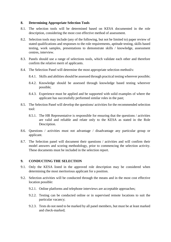#### **8. Determining Appropriate Selection Tools**

- 8.1. The selection tools will be determined based on KESA documented in the role description, considering the most cost effective method of assessment.
- 8.2. Selection tools may include (any of the following, but not be limited to) paper review of stated qualifications and responses to the role requirements, aptitude testing, skills based testing, work samples, presentations to demonstrate skills / knowledge, assessment centres, interview.
- 8.3. Panels should use a range of selections tools, which validate each other and therefore confirm the relative merit of applicants.
- 8.4. The Selection Panel will determine the most appropriate selection method/s:
	- 8.4.1. Skills and abilities should be assessed through practical testing wherever possible;
	- 8.4.2. Knowledge should be assessed through knowledge based testing wherever possible;
	- 8.4.3. Experience must be applied and be supported with solid examples of where the applicant has successfully performed similar roles in the past;
- 8.5. The Selection Panel will develop the questions/ activities for the recommended selection tool:
	- 8.5.1. The HR Representative is responsible for ensuring that the questions / activities are valid and reliable and relate only to the KESA as stated in the Role Description.
- 8.6. Questions / activities must not advantage / disadvantage any particular group or applicant.
- 8.7. The Selection panel will document their questions / activities and will confirm their model answers and scoring methodology, prior to commencing the selection activity. These documents must be included in the selection report.

#### **9. CONDUCTING THE SELECTION**

- 9.1. Only the KESA listed in the approved role description may be considered when determining the most meritorious applicant for a position.
- 9.2. Selection activities will be conducted through the means and in the most cost effective location possible:
	- 9.2.1. Online platforms and telephone interviews are acceptable approaches;
	- 9.2.2. Testing can be conducted online or in supervised remote locations to suit the particular vacancy;
	- 9.2.3. Tests do not need to be marked by all panel members, but must be at least marked and check-marked;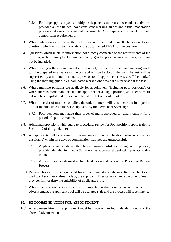- 9.2.4. For large applicant pools, multiple sub-panels can be used to conduct activities, provided all are trained, have consistent marking guides and a final moderation process confirms consistency of assessments. All sub-panels must meet the panel composition requirements.
- 9.3. Where interviews are one of the tools, they will use predominantly behaviour based questions which must directly relate to the documented KESA for the position.
- 9.4. Questions which relate to information not directly connected to the requirements of the position, such as family background, ethnicity, gender, personal arrangements, etc. must not be included.
- 9.5. Where testing is the recommended selection tool, the test instrument and marking guide will be prepared in advance of the test and will be kept confidential. The test will be supervised by a minimum of one supervisor to 10 applicants. The test will be marked using the marking guide, by a nominated marker who was not a supervisor at the test.
- 9.6. Where multiple positions are available for appointment (including pool positions), or where there is more than one suitable applicant for a single position, an order of merit list will be compiled and offers made based on that order of merit.
- 9.7. Where an order of merit is compiled, the order of merit will remain current for a period of four months, unless otherwise stipulated by the Permanent Secretary:
	- 9.7.1. Pool positions may have their order of merit approved to remain current for a period of up to 12 months.
- 9.8. Additional provisions with regard to procedural review for Pool positions apply (refer to Section 12 of this guideline);
- 9.9. All applicants will be advised of the outcome of their application (whether suitable / unsuitable) within five days of confirmation that they are unsuccessful:
	- 9.9.1. Applicants can be advised that they are unsuccessful at any stage of the process, provided that the Permanent Secretary has approved the selection process to that point;
	- 9.9.2. Advice to applicants must include feedback and details of the Procedure Review Process.
- 9.10. Referee checks must be conducted for all recommended applicants. Referee checks are used to substantiate claims made by the applicant. They cannot change the order of merit, they confirm or deny the suitability of applicants only.
- 9.11. Where the selection activities are not completed within four calendar months from advertisement, the applicant pool will be declared stale and the process will recommence.

#### **10. RECOMMENDATION FOR APPOINTMENT**

10.1. A recommendation for appointment must be made within four calendar months of the close of advertisement: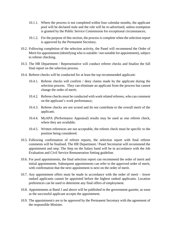- 10.1.1. Where the process is not completed within four calendar months, the applicant pool will be declared stale and the role will be re-advertised, unless exemption is granted by the Public Service Commission for exceptional circumstances;
- 10.1.2. For the purpose of this section, the process is complete when the selection report is approved by the Permanent Secretary.
- 10.2. Following completion of the selection activity, the Panel will recommend the Order of Merit for appointment (identifying who is suitable / not suitable for appointment), subject to referee checking.
- 10.3. The HR Department / Representative will conduct referee checks and finalise the full final report on the selection process.
- 10.4. Referee checks will be conducted for at least the top recommended applicant:
	- 10.4.1. Referee checks will confirm / deny claims made by the applicant during the selection process. They can eliminate an applicant from the process but cannot change the order of merit;
	- 10.4.2. Referee checks must be conducted with work related referees, who can comment on the applicant's work performance;
	- 10.4.3. Referee checks are not scored and do not contribute to the overall merit of the applicant;
	- 10.4.4. MyAPA (Performance Appraisal) results may be used as one referee check, where they are available;
	- 10.4.5. Written references are not acceptable, the referee check must be specific to the position being considered.
- 10.5. Following confirmation of referee reports, the selection report with final referee comments will be finalised. The HR Department / Panel Secretariat will recommend the appointment and step. The Step on the Salary band will be in accordance with the Job Evaluation and Civil Service Remuneration Setting guideline.
- 10.6. For pool appointments, the final selection report can recommend the order of merit and initial appointments. Subsequent appointments can refer to the approved order of merit, with confirmation that the next appointment is next on the order of merit.
- 10.7. Any appointment offers must be made in accordance with the order of merit lower ranked applicants cannot be appointed before the highest ranked applicants. Location preferences can be used to determine any final offers of employment.
- 10.8. Appointments at Band J and above will be published in the government gazette, as soon as the successful applicant accepts the appointment.
- 10.9. The appointment/s are to be approved by the Permanent Secretary with the agreement of the responsible Minister.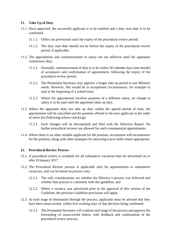#### **11. Take Up of Duty**

- 11.1. Once approved, the successful applicant is to be notified and a duty start date is to be confirmed.
	- 11.1.1. Offers are provisional until the expiry of the procedural review period;
	- 11.1.2. The duty start date should not be before the expiry of the procedural review period, if applicable.
- 11.2. The appointment and commencement of salary are not effective until the appointee commences duty:
	- 11.2.1. Normally, commencement of duty is to be within 30 calendar days (one month) of acceptance and confirmation of appointment, following the expiry of the procedural review period;
	- 11.2.2. The Permanent Secretary may approve a longer take up period to suit Ministry needs. However, this would be in exceptional circumstances, for example to start at the beginning of a school term;
	- 11.2.3. Where the appointment involves payment of a different salary, no change to salary is to be paid until the appointee takes up duty.
- 11.3. Where the appointee does not take up duty within the agreed period of time, the appointment will be cancelled and the position offered to the next applicant in the order of merit list (following referee checking);
	- 11.3.1. Such changes will be documented and filed with the Selection Report. No further procedural reviews are allowed for such consequential appointments.
- 11.4. Where there is no other suitable applicant for the position, recruitment will recommence for the position, along with other strategies for attracting scarce skills where appropriate.

#### **12. Procedural Review Process**

- 12.1. A procedural review is available for all substantive vacancies that are advertised on or after 01January 2017.
- 12.2. The Procedural Review process is applicable only for appointments to substantive vacancies, and can be based on process only:
	- 12.2.1. The only considerations are whether the Ministry's process was followed and whether that process is consistent with this guideline; and
	- 12.2.2. Where a vacancy was advertised prior to the approval of this version of the Guideline, the previous Guideline provisions will apply.
- 12.3. At each stage of elimination through the process, applicants must be advised that they have been unsuccessful, within five working days of that decision being confirmed:
	- 12.3.1. The Permanent Secretary will confirm each stage of the process and approve the forwarding of unsuccessful letters, with feedback and confirmation of the procedural review process;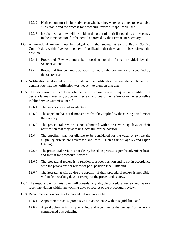- 12.3.2. Notification must include advice on whether they were considered to be suitable / unsuitable and the process for procedural review, if applicable; and
- 12.3.3. If suitable, that they will be held on the order of merit list pending any vacancy in the same position for the period approved by the Permanent Secretary.
- 12.4. A procedural review must be lodged with the Secretariat to the Public Service Commission, within five working days of notification that they have not been offered the position.
	- 12.4.1. Procedural Reviews must be lodged using the format provided by the Secretariat: and
	- 12.4.2. Procedural Reviews must be accompanied by the documentation specified by the Secretariat.
- 12.5. Notification is deemed to be the date of the notification, unless the applicant can demonstrate that the notification was not sent to them on that date.
- 12.6. The Secretariat will confirm whether a Procedural Review request is eligible. The Secretariat may reject any procedural review, without further reference to the responsible Public Service Commissioner if:
	- 12.6.1. The vacancy was not substantive;
	- 12.6.2. The appellant has not demonstrated that they applied by the closing date/time of the vacancy;
	- 12.6.3. The procedural review is not submitted within five working days of their notification that they were unsuccessful for the position;
	- 12.6.4. The appellant was not eligible to be considered for the vacancy (where the eligibility criteria are advertised and lawful, such as under age 55 and Fijian Citizen);
	- 12.6.5. The procedural review is not clearly based on process as per the advertised basis and format for procedural review;
	- 12.6.6. The procedural review is in relation to a pool position and is not in accordance with the provisions for review of pool position (see S10); and
	- 12.6.7. The Secretariat will advise the appellant if their procedural review is ineligible, within five working days of receipt of the procedural review.
- 12.7. The responsible Commissioner will consider any eligible procedural review and make a recommendation within ten working days of receipt of the procedural review.
- 12.8. Recommended outcomes of a procedural review can be:
	- 12.8.1. Appointment stands, process was in accordance with this guideline; and
	- 12.8.2. Appeal upheld Ministry to review and recommence the process from where it contravened this guideline.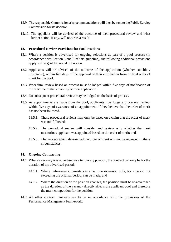- 12.9. The responsible Commissioner's recommendations will then be sent to the Public Service Commission for its decision.
- 12.10. The appellant will be advised of the outcome of their procedural review and what further action, if any, will occur as a result.

#### **13. Procedural Review Provisions for Pool Positions**

- 13.1. Where a position is advertised for ongoing selections as part of a pool process (in accordance with Section 5 and 6 of this guideline), the following additional provisions apply with regard to procedural review
- 13.2. Applicants will be advised of the outcome of the application (whether suitable / unsuitable), within five days of the approval of their elimination from or final order of merit for the pool.
- 13.3. Procedural review based on process must be lodged within five days of notification of the outcome of the suitability of their application.
- 13.4. No subsequent procedural review may be lodged on the basis of process.
- 13.5. As appointments are made from the pool, applicants may lodge a procedural review within five days of awareness of an appointment, if they believe that the order of merit has not been followed.
	- 13.5.1. These procedural reviews may only be based on a claim that the order of merit was not followed;
	- 13.5.2. The procedural review will consider and review only whether the most meritorious applicant was appointed based on the order of merit; and
	- 13.5.3. The Process which determined the order of merit will not be reviewed in these circumstances.

#### **14. Ongoing Contracting**

- 14.1. Where a vacancy was advertised as a temporary position, the contract can only be for the duration of the advertised period:
	- 14.1.1. Where unforeseen circumstances arise, one extension only, for a period not exceeding the original period, can be made; and
	- 14.1.2. Where the duration of the position changes, the position must be re-advertised as the duration of the vacancy directly affects the applicant pool and therefore the merit competition for the position.
- 14.2. All other contract renewals are to be in accordance with the provisions of the Performance Management Framework.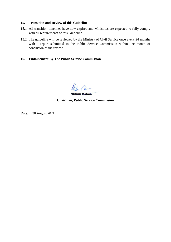#### **15. Transition and Review of this Guideline:**

- 15.1. All transition timelines have now expired and Ministries are expected to fully comply with all requirements of this Guideline.
- 15.2. The guideline will be reviewed by the Ministry of Civil Service once every 24 months with a report submitted to the Public Service Commission within one month of conclusion of the review.

#### **16. Endorsement By The Public Service Commission**

Hohm Com **Vishnu Mohan** 

**Chairman, Public Service Commission**

Date: 30 August 2021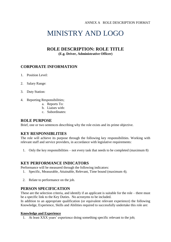# MINISTRY AND LOGO

# **ROLE DESCRIPTION: ROLE TITLE**

**(E.g. Driver, Administrative Officer)**

# **CORPORATE INFORMATION**

- 1. Position Level:
- 2. Salary Range:
- 3. Duty Station:
- 4. Reporting Responsibilities;
	- a. Reports To:
	- b. Liaises with:
	- c. Subordinates:

#### **ROLE PURPOSE**

Brief, one or two sentences describing why the role exists and its prime objective.

# **KEY RESPONSIBLITIES**

The role will achieve its purpose through the following key responsibilities. Working with relevant staff and service providers, in accordance with legislative requirements:

1. Only the key responsibilities – not every task that needs to be completed (maximum 8)

# **KEY PERFORMANCE INDICATORS**

Performance will be measured through the following indicators:

- 1. Specific, Measurable, Attainable, Relevant, Time bound (maximum 4);
- 2. Relate to performance on the job.

# **PERSON SPECIFICATION**

These are the selection criteria, and identify if an applicant is suitable for the role – there must be a specific link to the Key Duties. No acronyms to be included.

In addition to an appropriate qualification (or equivalent relevant experience) the following Knowledge, Experience, Skills and Abilities required to successfully undertake this role are:

#### **Knowledge and Experience**

1. At least XXX years' experience doing something specific relevant to the job;